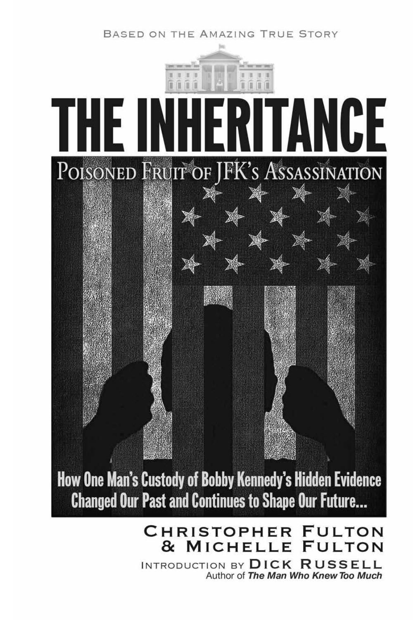BASED ON THE AMAZING TRUE STORY



INTRODUCTION BY DICK RUSSELL Author of The Man Who Knew Too Much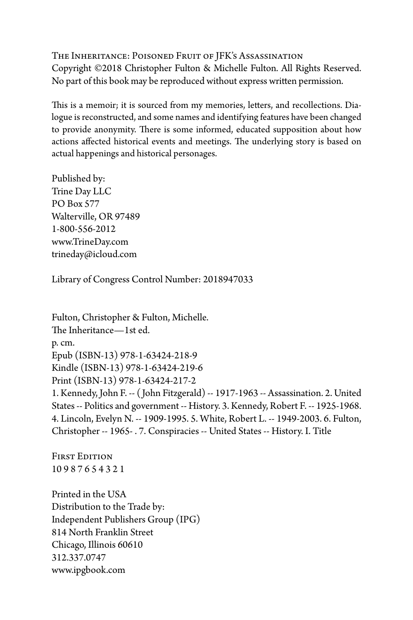The Inheritance: Poisoned Fruit of JFK's Assassination Copyright ©2018 Christopher Fulton & Michelle Fulton. All Rights Reserved. No part of this book may be reproduced without express written permission.

This is a memoir; it is sourced from my memories, letters, and recollections. Dialogue is reconstructed, and some names and identifying features have been changed to provide anonymity. There is some informed, educated supposition about how actions affected historical events and meetings. The underlying story is based on actual happenings and historical personages.

Published by: Trine Day LLC PO Box 577 Walterville, OR 97489 1-800-556-2012 www.TrineDay.com trineday@icloud.com

Library of Congress Control Number: 2018947033

Fulton, Christopher & Fulton, Michelle. The Inheritance—1st ed. p. cm. Epub (ISBN-13) 978-1-63424-218-9 Kindle (ISBN-13) 978-1-63424-219-6 Print (ISBN-13) 978-1-63424-217-2 1. Kennedy, John F. -- ( John Fitzgerald) -- 1917-1963 -- Assassination. 2. United States -- Politics and government -- History. 3. Kennedy, Robert F. -- 1925-1968. 4. Lincoln, Evelyn N. -- 1909-1995. 5. White, Robert L. -- 1949-2003. 6. Fulton, Christopher -- 1965- . 7. Conspiracies -- United States -- History. I. Title

**FIRST EDITION** 10 9 8 7 6 5 4 3 2 1

Printed in the USA Distribution to the Trade by: Independent Publishers Group (IPG) 814 North Franklin Street Chicago, Illinois 60610 312.337.0747 www.ipgbook.com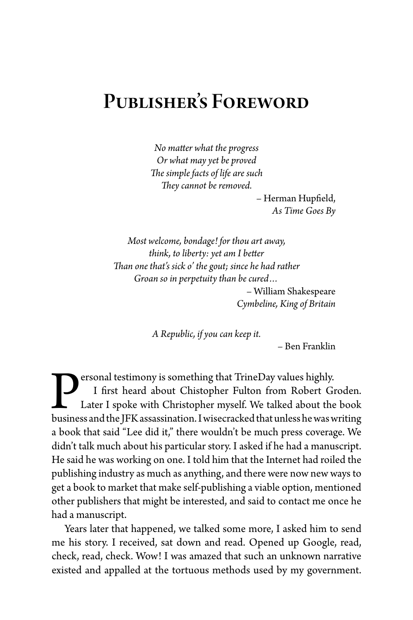# PUBLISHER'S FOREWORD

*No matter what the progress Or what may yet be proved The simple facts of life are such They cannot be removed.*

> – Herman Hupfield, *As Time Goes By*

*Most welcome, bondage! for thou art away, think, to liberty: yet am I better Than one that's sick o' the gout; since he had rather Groan so in perpetuity than be cured…* – William Shakespeare *Cymbeline, King of Britain*

*A Republic, if you can keep it.*

– Ben Franklin

**Personal testimony is something that TrineDay values highly.**<br>
I first heard about Chistopher Fulton from Robert Groden.<br>
Later I spoke with Christopher myself. We talked about the book<br>
business and the JFK assassination I first heard about Chistopher Fulton from Robert Groden. Later I spoke with Christopher myself. We talked about the book a book that said "Lee did it," there wouldn't be much press coverage. We didn't talk much about his particular story. I asked if he had a manuscript. He said he was working on one. I told him that the Internet had roiled the publishing industry as much as anything, and there were now new ways to get a book to market that make self-publishing a viable option, mentioned other publishers that might be interested, and said to contact me once he had a manuscript.

Years later that happened, we talked some more, I asked him to send me his story. I received, sat down and read. Opened up Google, read, check, read, check. Wow! I was amazed that such an unknown narrative existed and appalled at the tortuous methods used by my government.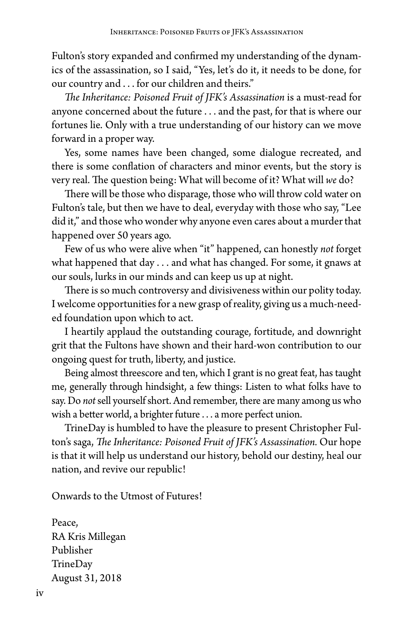Fulton's story expanded and confirmed my understanding of the dynamics of the assassination, so I said, "Yes, let's do it, it needs to be done, for our country and . . . for our children and theirs."

*The Inheritance: Poisoned Fruit of JFK's Assassination* is a must-read for anyone concerned about the future . . . and the past, for that is where our fortunes lie. Only with a true understanding of our history can we move forward in a proper way.

Yes, some names have been changed, some dialogue recreated, and there is some conflation of characters and minor events, but the story is very real. The question being: What will become of it? What will *we* do?

There will be those who disparage, those who will throw cold water on Fulton's tale, but then we have to deal, everyday with those who say, "Lee did it," and those who wonder why anyone even cares about a murder that happened over 50 years ago.

Few of us who were alive when "it" happened, can honestly *not* forget what happened that day . . . and what has changed. For some, it gnaws at our souls, lurks in our minds and can keep us up at night.

There is so much controversy and divisiveness within our polity today. I welcome opportunities for a new grasp of reality, giving us a much-needed foundation upon which to act.

I heartily applaud the outstanding courage, fortitude, and downright grit that the Fultons have shown and their hard-won contribution to our ongoing quest for truth, liberty, and justice.

Being almost threescore and ten, which I grant is no great feat, has taught me, generally through hindsight, a few things: Listen to what folks have to say. Do *not* sell yourself short. And remember, there are many among us who wish a better world, a brighter future . . . a more perfect union.

TrineDay is humbled to have the pleasure to present Christopher Fulton's saga, *The Inheritance: Poisoned Fruit of JFK's Assassination.* Our hope is that it will help us understand our history, behold our destiny, heal our nation, and revive our republic!

Onwards to the Utmost of Futures!

Peace, RA Kris Millegan Publisher TrineDay August 31, 2018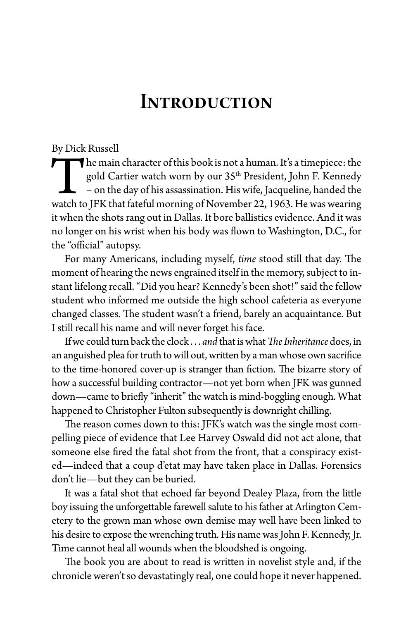## **INTRODUCTION**

By Dick Russell

The main character of this book is not a human. It's a timepiece: the gold Cartier watch worn by our 35<sup>th</sup> President, John F. Kennedy – on the day of his assassination. His wife, Jacqueline, handed the watch to JFK that f gold Cartier watch worn by our 35th President, John F. Kennedy – on the day of his assassination. His wife, Jacqueline, handed the watch to JFK that fateful morning of November 22, 1963. He was wearing it when the shots rang out in Dallas. It bore ballistics evidence. And it was no longer on his wrist when his body was flown to Washington, D.C., for the "official" autopsy.

For many Americans, including myself, *time* stood still that day. The moment of hearing the news engrained itself in the memory, subject to instant lifelong recall. "Did you hear? Kennedy's been shot!" said the fellow student who informed me outside the high school cafeteria as everyone changed classes. The student wasn't a friend, barely an acquaintance. But I still recall his name and will never forget his face.

If we could turn back the clock . . . *and* that is what *The Inheritance* does, in an anguished plea for truth to will out, written by a man whose own sacrifice to the time-honored cover-up is stranger than fiction. The bizarre story of how a successful building contractor—not yet born when JFK was gunned down—came to briefly "inherit" the watch is mind-boggling enough. What happened to Christopher Fulton subsequently is downright chilling.

The reason comes down to this: JFK's watch was the single most compelling piece of evidence that Lee Harvey Oswald did not act alone, that someone else fired the fatal shot from the front, that a conspiracy existed—indeed that a coup d'etat may have taken place in Dallas. Forensics don't lie—but they can be buried.

It was a fatal shot that echoed far beyond Dealey Plaza, from the little boy issuing the unforgettable farewell salute to his father at Arlington Cemetery to the grown man whose own demise may well have been linked to his desire to expose the wrenching truth. His name was John F. Kennedy, Jr. Time cannot heal all wounds when the bloodshed is ongoing.

The book you are about to read is written in novelist style and, if the chronicle weren't so devastatingly real, one could hope it never happened.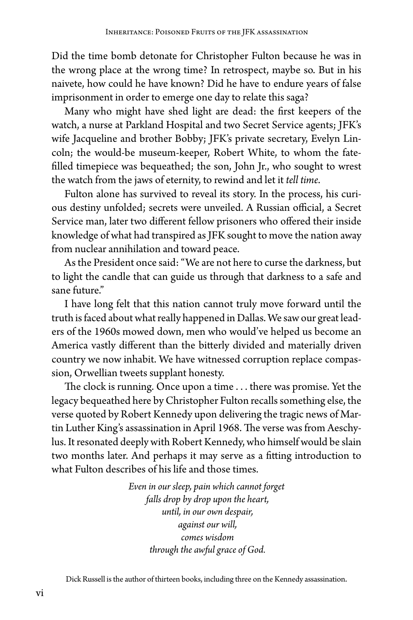Did the time bomb detonate for Christopher Fulton because he was in the wrong place at the wrong time? In retrospect, maybe so. But in his naivete, how could he have known? Did he have to endure years of false imprisonment in order to emerge one day to relate this saga?

Many who might have shed light are dead: the first keepers of the watch, a nurse at Parkland Hospital and two Secret Service agents; JFK's wife Jacqueline and brother Bobby; JFK's private secretary, Evelyn Lincoln; the would-be museum-keeper, Robert White, to whom the fatefilled timepiece was bequeathed; the son, John Jr., who sought to wrest the watch from the jaws of eternity, to rewind and let it *tell time*.

Fulton alone has survived to reveal its story. In the process, his curious destiny unfolded; secrets were unveiled. A Russian official, a Secret Service man, later two different fellow prisoners who offered their inside knowledge of what had transpired as JFK sought to move the nation away from nuclear annihilation and toward peace.

As the President once said: "We are not here to curse the darkness, but to light the candle that can guide us through that darkness to a safe and sane future."

I have long felt that this nation cannot truly move forward until the truth is faced about what really happened in Dallas. We saw our great leaders of the 1960s mowed down, men who would've helped us become an America vastly different than the bitterly divided and materially driven country we now inhabit. We have witnessed corruption replace compassion, Orwellian tweets supplant honesty.

The clock is running. Once upon a time . . . there was promise. Yet the legacy bequeathed here by Christopher Fulton recalls something else, the verse quoted by Robert Kennedy upon delivering the tragic news of Martin Luther King's assassination in April 1968. The verse was from Aeschylus. It resonated deeply with Robert Kennedy, who himself would be slain two months later. And perhaps it may serve as a fitting introduction to what Fulton describes of his life and those times.

> *Even in our sleep, pain which cannot forget falls drop by drop upon the heart, until, in our own despair, against our will, comes wisdom through the awful grace of God.*

Dick Russell is the author of thirteen books, including three on the Kennedy assassination.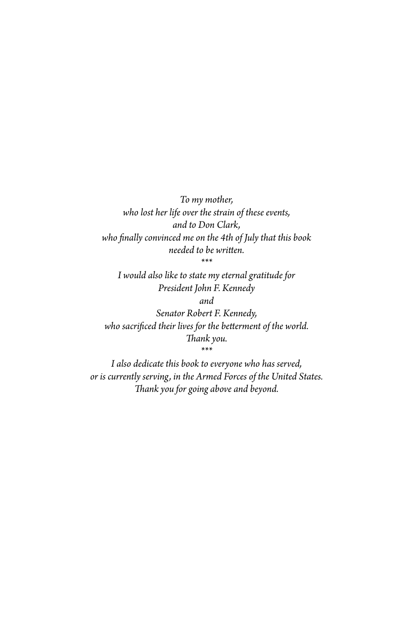*To my mother, who lost her life over the strain of these events, and to Don Clark, who finally convinced me on the 4th of July that this book needed to be written.* 

*\*\*\**

*I would also like to state my eternal gratitude for President John F. Kennedy and Senator Robert F. Kennedy,*

*who sacrificed their lives for the betterment of the world. Thank you. \*\*\**

*I also dedicate this book to everyone who has served, or is currently serving, in the Armed Forces of the United States. Thank you for going above and beyond.*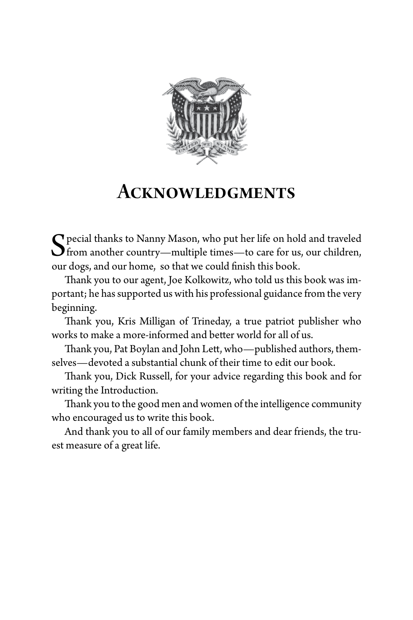

### **ACKNOWLEDGMENTS**

Special thanks to Nanny Mason, who put her life on hold and traveled<br>
from another country—multiple times—to care for us, our children,<br>
our doze and our home, so that we sould finish this hook. our dogs, and our home, so that we could finish this book.

Thank you to our agent, Joe Kolkowitz, who told us this book was important; he has supported us with his professional guidance from the very beginning.

Thank you, Kris Milligan of Trineday, a true patriot publisher who works to make a more-informed and better world for all of us.

Thank you, Pat Boylan and John Lett, who—published authors, themselves—devoted a substantial chunk of their time to edit our book.

Thank you, Dick Russell, for your advice regarding this book and for writing the Introduction.

Thank you to the good men and women of the intelligence community who encouraged us to write this book.

And thank you to all of our family members and dear friends, the truest measure of a great life.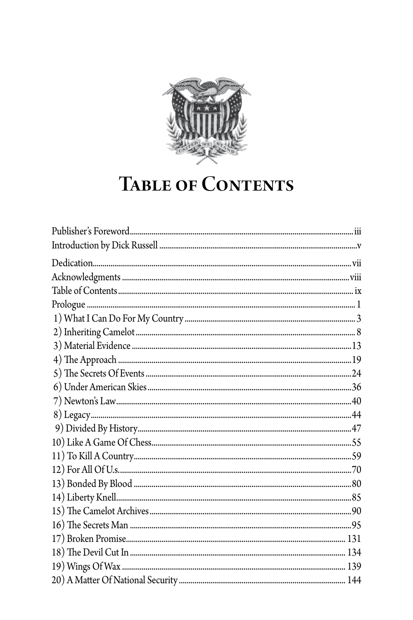

# **TABLE OF CONTENTS**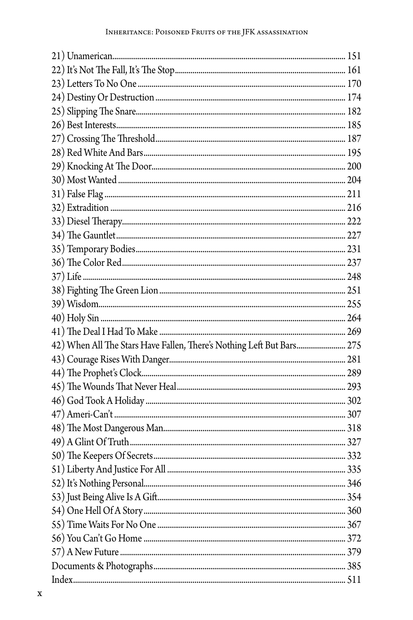| 42) When All The Stars Have Fallen, There's Nothing Left But Bars 275 |  |
|-----------------------------------------------------------------------|--|
|                                                                       |  |
|                                                                       |  |
|                                                                       |  |
|                                                                       |  |
|                                                                       |  |
|                                                                       |  |
|                                                                       |  |
|                                                                       |  |
|                                                                       |  |
|                                                                       |  |
|                                                                       |  |
|                                                                       |  |
|                                                                       |  |
|                                                                       |  |
|                                                                       |  |
|                                                                       |  |
|                                                                       |  |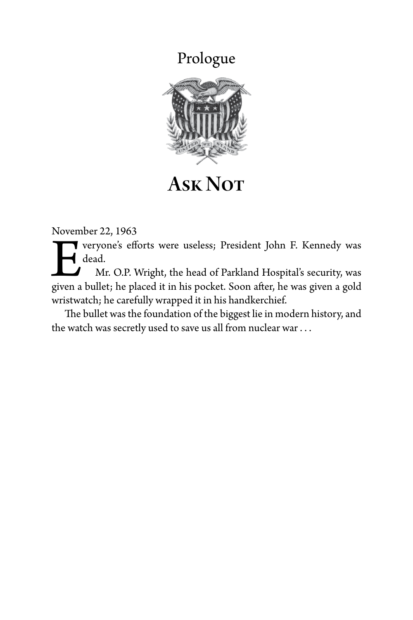Prologue



**ASK NOT** 

November 22, 1963

Everyone's efforts were useless; President John F. Kennedy was dead.

Mr. O.P. Wright, the head of Parkland Hospital's security, was given a bullet; he placed it in his pocket. Soon after, he was given a gold wristwatch; he carefully wrapped it in his handkerchief.

The bullet was the foundation of the biggest lie in modern history, and the watch was secretly used to save us all from nuclear war . . .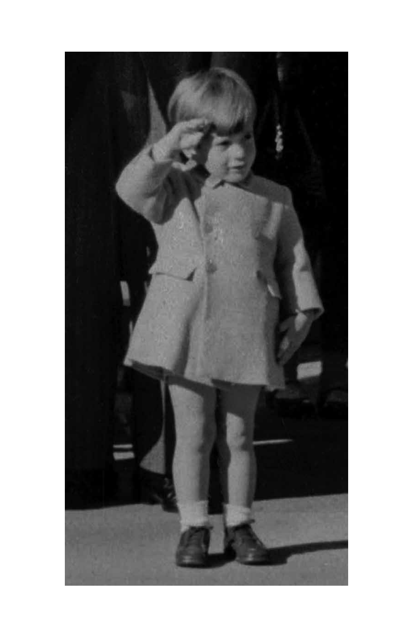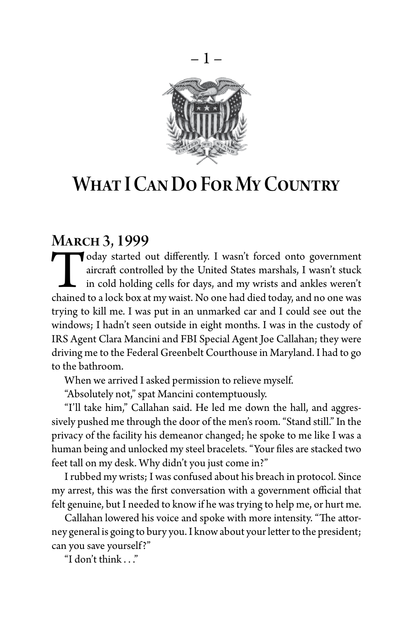

# What I Can Do For My Country

#### March 3, 1999

Today started out differently. I wasn't forced onto government aircraft controlled by the United States marshals, I wasn't stuck in cold holding cells for days, and my wrists and ankles weren't chained to a lock box at my waist. No one had died today, and no one was trying to kill me. I was put in an unmarked car and I could see out the windows; I hadn't seen outside in eight months. I was in the custody of IRS Agent Clara Mancini and FBI Special Agent Joe Callahan; they were driving me to the Federal Greenbelt Courthouse in Maryland. I had to go to the bathroom.

When we arrived I asked permission to relieve myself.

"Absolutely not," spat Mancini contemptuously.

"I'll take him," Callahan said. He led me down the hall, and aggressively pushed me through the door of the men's room. "Stand still." In the privacy of the facility his demeanor changed; he spoke to me like I was a human being and unlocked my steel bracelets. "Your files are stacked two feet tall on my desk. Why didn't you just come in?"

I rubbed my wrists; I was confused about his breach in protocol. Since my arrest, this was the first conversation with a government official that felt genuine, but I needed to know if he was trying to help me, or hurt me.

Callahan lowered his voice and spoke with more intensity. "The attorney general is going to bury you. I know about your letter to the president; can you save yourself?"

"I don't think  $\mathbb{R}$ "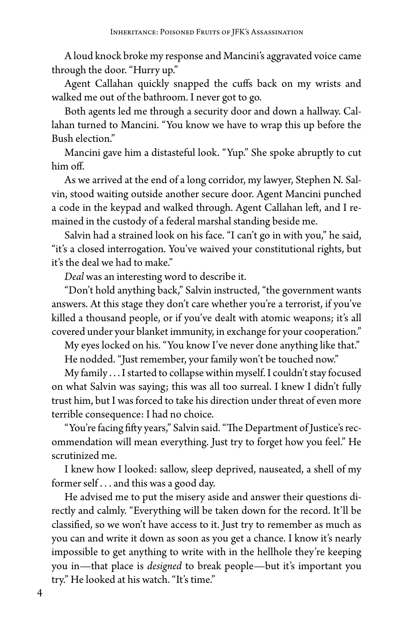A loud knock broke my response and Mancini's aggravated voice came through the door. "Hurry up."

Agent Callahan quickly snapped the cuffs back on my wrists and walked me out of the bathroom. I never got to go.

Both agents led me through a security door and down a hallway. Callahan turned to Mancini. "You know we have to wrap this up before the Bush election."

Mancini gave him a distasteful look. "Yup." She spoke abruptly to cut him off.

As we arrived at the end of a long corridor, my lawyer, Stephen N. Salvin, stood waiting outside another secure door. Agent Mancini punched a code in the keypad and walked through. Agent Callahan left, and I remained in the custody of a federal marshal standing beside me.

Salvin had a strained look on his face. "I can't go in with you," he said, "it's a closed interrogation. You've waived your constitutional rights, but it's the deal we had to make."

*Deal* was an interesting word to describe it.

"Don't hold anything back," Salvin instructed, "the government wants answers. At this stage they don't care whether you're a terrorist, if you've killed a thousand people, or if you've dealt with atomic weapons; it's all covered under your blanket immunity, in exchange for your cooperation."

My eyes locked on his. "You know I've never done anything like that."

He nodded. "Just remember, your family won't be touched now."

My family . . . I started to collapse within myself. I couldn't stay focused on what Salvin was saying; this was all too surreal. I knew I didn't fully trust him, but I was forced to take his direction under threat of even more terrible consequence: I had no choice.

"You're facing fifty years," Salvin said. "The Department of Justice's recommendation will mean everything. Just try to forget how you feel." He scrutinized me.

I knew how I looked: sallow, sleep deprived, nauseated, a shell of my former self . . . and this was a good day.

He advised me to put the misery aside and answer their questions directly and calmly. "Everything will be taken down for the record. It'll be classified, so we won't have access to it. Just try to remember as much as you can and write it down as soon as you get a chance. I know it's nearly impossible to get anything to write with in the hellhole they're keeping you in—that place is *designed* to break people—but it's important you try." He looked at his watch. "It's time."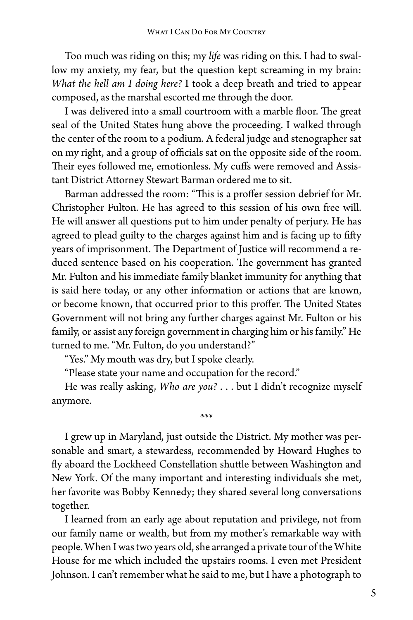Too much was riding on this; my *life* was riding on this. I had to swallow my anxiety, my fear, but the question kept screaming in my brain: *What the hell am I doing here?* I took a deep breath and tried to appear composed, as the marshal escorted me through the door.

I was delivered into a small courtroom with a marble floor. The great seal of the United States hung above the proceeding. I walked through the center of the room to a podium. A federal judge and stenographer sat on my right, and a group of officials sat on the opposite side of the room. Their eyes followed me, emotionless. My cuffs were removed and Assistant District Attorney Stewart Barman ordered me to sit.

Barman addressed the room: "This is a proffer session debrief for Mr. Christopher Fulton. He has agreed to this session of his own free will. He will answer all questions put to him under penalty of perjury. He has agreed to plead guilty to the charges against him and is facing up to fifty years of imprisonment. The Department of Justice will recommend a reduced sentence based on his cooperation. The government has granted Mr. Fulton and his immediate family blanket immunity for anything that is said here today, or any other information or actions that are known, or become known, that occurred prior to this proffer. The United States Government will not bring any further charges against Mr. Fulton or his family, or assist any foreign government in charging him or his family." He turned to me. "Mr. Fulton, do you understand?"

"Yes." My mouth was dry, but I spoke clearly.

"Please state your name and occupation for the record."

He was really asking, *Who are you?* . . . but I didn't recognize myself anymore.

\*\*\*

I grew up in Maryland, just outside the District. My mother was personable and smart, a stewardess, recommended by Howard Hughes to fly aboard the Lockheed Constellation shuttle between Washington and New York. Of the many important and interesting individuals she met, her favorite was Bobby Kennedy; they shared several long conversations together.

I learned from an early age about reputation and privilege, not from our family name or wealth, but from my mother's remarkable way with people. When I was two years old, she arranged a private tour of the White House for me which included the upstairs rooms. I even met President Johnson. I can't remember what he said to me, but I have a photograph to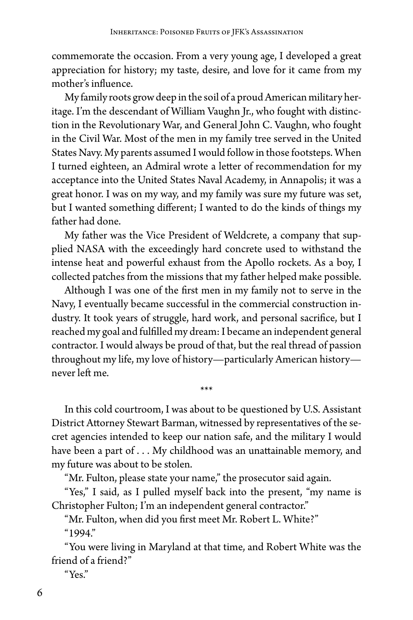commemorate the occasion. From a very young age, I developed a great appreciation for history; my taste, desire, and love for it came from my mother's influence.

My family roots grow deep in the soil of a proud American military heritage. I'm the descendant of William Vaughn Jr., who fought with distinction in the Revolutionary War, and General John C. Vaughn, who fought in the Civil War. Most of the men in my family tree served in the United States Navy. My parents assumed I would follow in those footsteps. When I turned eighteen, an Admiral wrote a letter of recommendation for my acceptance into the United States Naval Academy, in Annapolis; it was a great honor. I was on my way, and my family was sure my future was set, but I wanted something different; I wanted to do the kinds of things my father had done.

My father was the Vice President of Weldcrete, a company that supplied NASA with the exceedingly hard concrete used to withstand the intense heat and powerful exhaust from the Apollo rockets. As a boy, I collected patches from the missions that my father helped make possible.

Although I was one of the first men in my family not to serve in the Navy, I eventually became successful in the commercial construction industry. It took years of struggle, hard work, and personal sacrifice, but I reached my goal and fulfilled my dream: I became an independent general contractor. I would always be proud of that, but the real thread of passion throughout my life, my love of history—particularly American history never left me.

In this cold courtroom, I was about to be questioned by U.S. Assistant District Attorney Stewart Barman, witnessed by representatives of the secret agencies intended to keep our nation safe, and the military I would have been a part of . . . My childhood was an unattainable memory, and my future was about to be stolen.

\*\*\*

"Mr. Fulton, please state your name," the prosecutor said again.

"Yes," I said, as I pulled myself back into the present, "my name is Christopher Fulton; I'm an independent general contractor."

"Mr. Fulton, when did you first meet Mr. Robert L. White?"

"1994."

"You were living in Maryland at that time, and Robert White was the friend of a friend?"

"Yes."